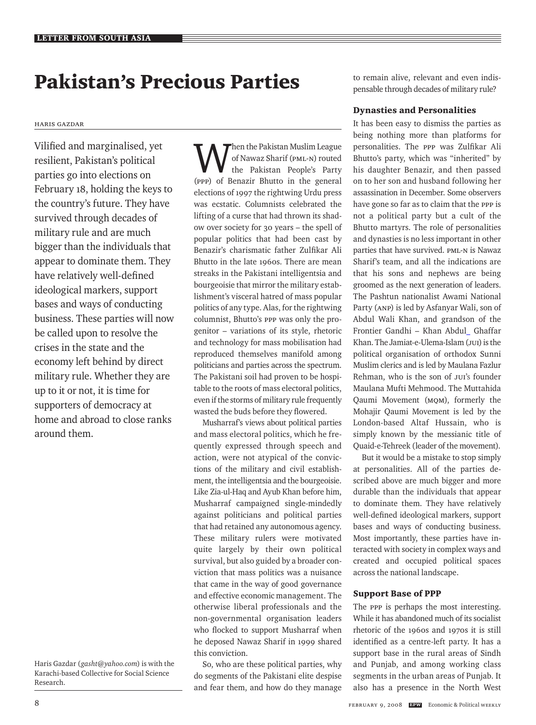# Pakistan's Precious Parties

#### Haris Gazdar

Vilified and marginalised, yet resilient, Pakistan's political parties go into elections on February 18, holding the keys to the country's future. They have survived through decades of military rule and are much bigger than the individuals that appear to dominate them. They have relatively well-defined ideological markers, support bases and ways of conducting business. These parties will now be called upon to resolve the crises in the state and the economy left behind by direct military rule. Whether they are up to it or not, it is time for supporters of democracy at home and abroad to close ranks around them.

Then the Pakistan Muslim League of Nawaz Sharif (PML-N) routed the Pakistan People's Party (PPP) of Benazir Bhutto in the general elections of 1997 the rightwing Urdu press was ecstatic. Columnists celebrated the lifting of a curse that had thrown its shadow over society for 30 years – the spell of popular politics that had been cast by Benazir's charismatic father Zulfikar Ali Bhutto in the late 1960s. There are mean streaks in the Pakistani intelligentsia and bourgeoisie that mirror the military establishment's visceral hatred of mass popular politics of any type. Alas, for the rightwing columnist, Bhutto's PPP was only the progenitor – variations of its style, rhetoric and technology for mass mobilisation had reproduced themselves manifold among politicians and parties across the spectrum. The Pakistani soil had proven to be hospitable to the roots of mass electoral politics, even if the storms of military rule frequently wasted the buds before they flowered.

Musharraf's views about political parties and mass electoral politics, which he frequently expressed through speech and action, were not atypical of the convictions of the military and civil establishment, the intelligentsia and the bourgeoisie. Like Zia-ul-Haq and Ayub Khan before him, Musharraf campaigned single-mindedly against politicians and political parties that had retained any autonomous agency. These military rulers were motivated quite largely by their own political survival, but also guided by a broader conviction that mass politics was a nuisance that came in the way of good governance and effective economic management. The otherwise liberal professionals and the non-governmental organisation leaders who flocked to support Musharraf when he deposed Nawaz Sharif in 1999 shared this conviction.

So, who are these political parties, why do segments of the Pakistani elite despise and fear them, and how do they manage to remain alive, relevant and even indispensable through decades of military rule?

## Dynasties and Personalities

It has been easy to dismiss the parties as being nothing more than platforms for personalities. The PPP was Zulfikar Ali Bhutto's party, which was "inherited" by his daughter Benazir, and then passed on to her son and husband following her assassination in December. Some observers have gone so far as to claim that the PPP is not a political party but a cult of the Bhutto martyrs. The role of personalities and dynasties is no less important in other parties that have survived. PML-N is Nawaz Sharif's team, and all the indications are that his sons and nephews are being groomed as the next generation of leaders. The Pashtun nationalist Awami National Party (ANP) is led by Asfanyar Wali, son of Abdul Wali Khan, and grandson of the Frontier Gandhi – Khan Abdul Ghaffar Khan. The Jamiat-e-Ulema-Islam (JUI) is the political organisation of orthodox Sunni Muslim clerics and is led by Maulana Fazlur Rehman, who is the son of JUI's founder Maulana Mufti Mehmood. The Muttahida Qaumi Movement (MQM), formerly the Mohajir Qaumi Movement is led by the London-based Altaf Hussain, who is simply known by the messianic title of Quaid-e-Tehreek (leader of the movement).

But it would be a mistake to stop simply at personalities. All of the parties described above are much bigger and more durable than the individuals that appear to dominate them. They have relatively well-defined ideological markers, support bases and ways of conducting business. Most importantly, these parties have interacted with society in complex ways and created and occupied political spaces across the national landscape.

## Support Base of PPP

The PPP is perhaps the most interesting. While it has abandoned much of its socialist rhetoric of the 1960s and 1970s it is still identified as a centre-left party. It has a support base in the rural areas of Sindh and Punjab, and among working class segments in the urban areas of Punjab. It also has a presence in the North West

Haris Gazdar (*gasht@yahoo.com*) is with the Karachi-based Collective for Social Science Research.